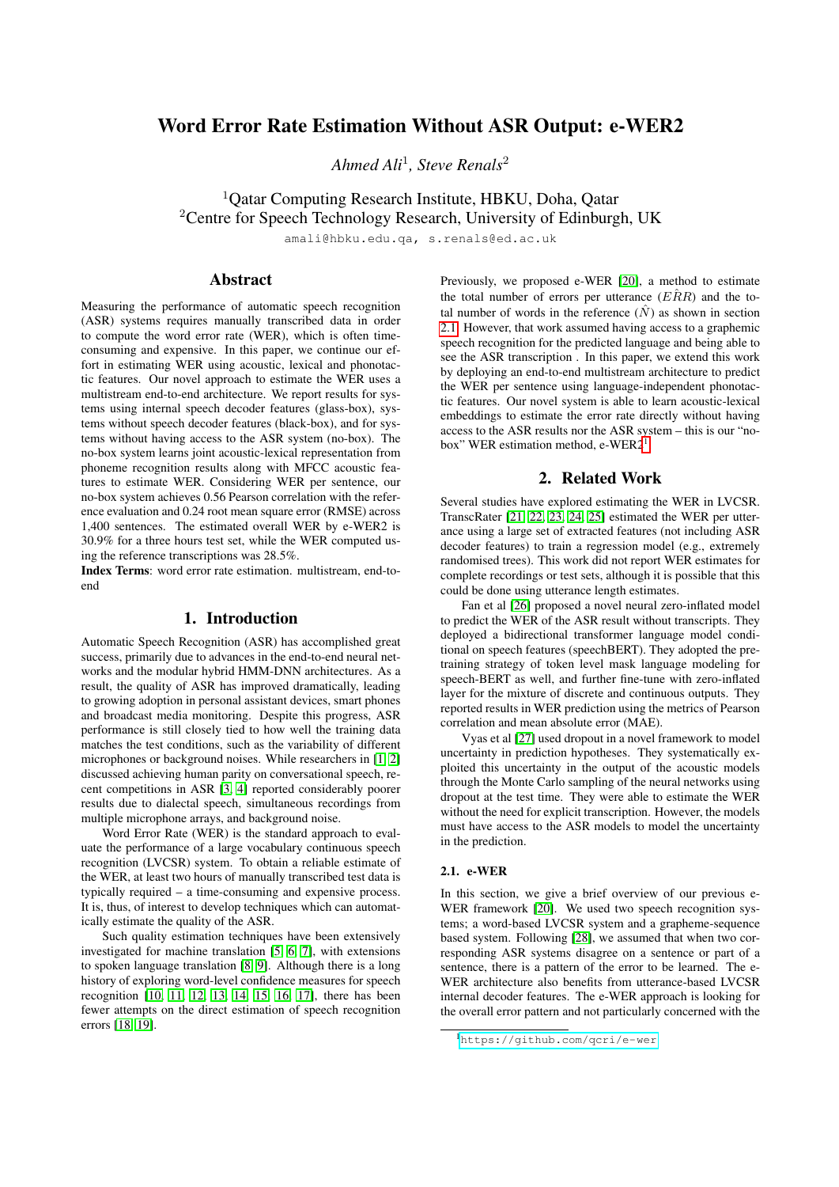# Word Error Rate Estimation Without ASR Output: e-WER2

*Ahmed Ali*<sup>1</sup> *, Steve Renals*<sup>2</sup>

<sup>1</sup>Qatar Computing Research Institute, HBKU, Doha, Qatar <sup>2</sup>Centre for Speech Technology Research, University of Edinburgh, UK

amali@hbku.edu.qa, s.renals@ed.ac.uk

# Abstract

Measuring the performance of automatic speech recognition (ASR) systems requires manually transcribed data in order to compute the word error rate (WER), which is often timeconsuming and expensive. In this paper, we continue our effort in estimating WER using acoustic, lexical and phonotactic features. Our novel approach to estimate the WER uses a multistream end-to-end architecture. We report results for systems using internal speech decoder features (glass-box), systems without speech decoder features (black-box), and for systems without having access to the ASR system (no-box). The no-box system learns joint acoustic-lexical representation from phoneme recognition results along with MFCC acoustic features to estimate WER. Considering WER per sentence, our no-box system achieves 0.56 Pearson correlation with the reference evaluation and 0.24 root mean square error (RMSE) across 1,400 sentences. The estimated overall WER by e-WER2 is 30.9% for a three hours test set, while the WER computed using the reference transcriptions was 28.5%.

Index Terms: word error rate estimation. multistream, end-toend

# 1. Introduction

Automatic Speech Recognition (ASR) has accomplished great success, primarily due to advances in the end-to-end neural networks and the modular hybrid HMM-DNN architectures. As a result, the quality of ASR has improved dramatically, leading to growing adoption in personal assistant devices, smart phones and broadcast media monitoring. Despite this progress, ASR performance is still closely tied to how well the training data matches the test conditions, such as the variability of different microphones or background noises. While researchers in [\[1,](#page-4-0) [2\]](#page-4-1) discussed achieving human parity on conversational speech, recent competitions in ASR [\[3,](#page-4-2) [4\]](#page-4-3) reported considerably poorer results due to dialectal speech, simultaneous recordings from multiple microphone arrays, and background noise.

Word Error Rate (WER) is the standard approach to evaluate the performance of a large vocabulary continuous speech recognition (LVCSR) system. To obtain a reliable estimate of the WER, at least two hours of manually transcribed test data is typically required – a time-consuming and expensive process. It is, thus, of interest to develop techniques which can automatically estimate the quality of the ASR.

Such quality estimation techniques have been extensively investigated for machine translation [\[5,](#page-4-4) [6,](#page-4-5) [7\]](#page-4-6), with extensions to spoken language translation [\[8,](#page-4-7) [9\]](#page-4-8). Although there is a long history of exploring word-level confidence measures for speech recognition [\[10,](#page-4-9) [11,](#page-4-10) [12,](#page-4-11) [13,](#page-4-12) [14,](#page-4-13) [15,](#page-4-14) [16,](#page-4-15) [17\]](#page-4-16), there has been fewer attempts on the direct estimation of speech recognition errors [\[18,](#page-4-17) [19\]](#page-4-18).

Previously, we proposed e-WER [\[20\]](#page-4-19), a method to estimate the total number of errors per utterance  $(E\hat{R}R)$  and the total number of words in the reference  $(\hat{N})$  as shown in section [2.1.](#page-0-0) However, that work assumed having access to a graphemic speech recognition for the predicted language and being able to see the ASR transcription . In this paper, we extend this work by deploying an end-to-end multistream architecture to predict the WER per sentence using language-independent phonotactic features. Our novel system is able to learn acoustic-lexical embeddings to estimate the error rate directly without having access to the ASR results nor the ASR system – this is our "nobox" WER estimation method,  $e$ -WER2<sup>[1](#page-0-1)</sup>.

### 2. Related Work

Several studies have explored estimating the WER in LVCSR. TranscRater [\[21,](#page-4-20) [22,](#page-4-21) [23,](#page-4-22) [24,](#page-4-23) [25\]](#page-4-24) estimated the WER per utterance using a large set of extracted features (not including ASR decoder features) to train a regression model (e.g., extremely randomised trees). This work did not report WER estimates for complete recordings or test sets, although it is possible that this could be done using utterance length estimates.

Fan et al [\[26\]](#page-4-25) proposed a novel neural zero-inflated model to predict the WER of the ASR result without transcripts. They deployed a bidirectional transformer language model conditional on speech features (speechBERT). They adopted the pretraining strategy of token level mask language modeling for speech-BERT as well, and further fine-tune with zero-inflated layer for the mixture of discrete and continuous outputs. They reported results in WER prediction using the metrics of Pearson correlation and mean absolute error (MAE).

Vyas et al [\[27\]](#page-4-26) used dropout in a novel framework to model uncertainty in prediction hypotheses. They systematically exploited this uncertainty in the output of the acoustic models through the Monte Carlo sampling of the neural networks using dropout at the test time. They were able to estimate the WER without the need for explicit transcription. However, the models must have access to the ASR models to model the uncertainty in the prediction.

#### <span id="page-0-0"></span>2.1. e-WER

In this section, we give a brief overview of our previous e-WER framework [\[20\]](#page-4-19). We used two speech recognition systems; a word-based LVCSR system and a grapheme-sequence based system. Following [\[28\]](#page-4-27), we assumed that when two corresponding ASR systems disagree on a sentence or part of a sentence, there is a pattern of the error to be learned. The e-WER architecture also benefits from utterance-based LVCSR internal decoder features. The e-WER approach is looking for the overall error pattern and not particularly concerned with the

<span id="page-0-1"></span><sup>1</sup><https://github.com/qcri/e-wer>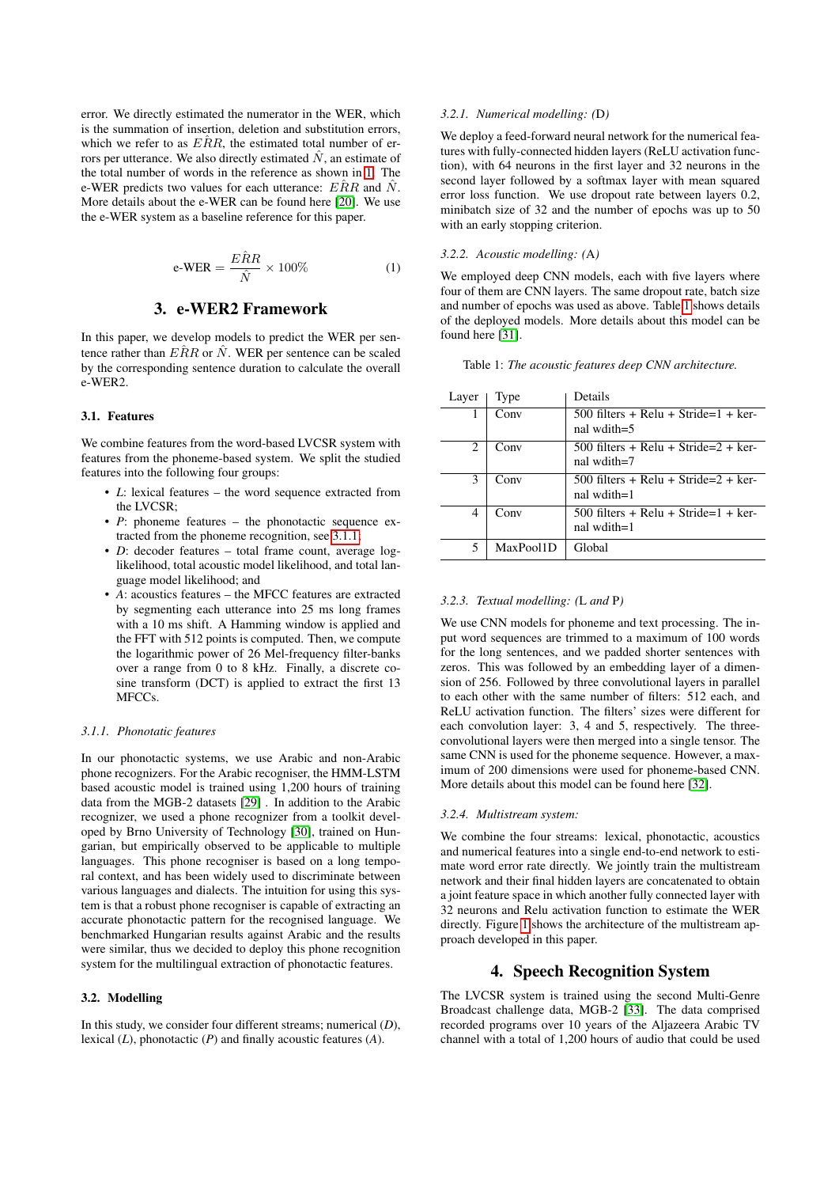error. We directly estimated the numerator in the WER, which is the summation of insertion, deletion and substitution errors, which we refer to as  $E\hat{R}R$ , the estimated total number of errors per utterance. We also directly estimated  $N$ , an estimate of the total number of words in the reference as shown in [1.](#page-1-0) The e-WER predicts two values for each utterance:  $E\hat{R}R$  and  $\hat{N}$ . More details about the e-WER can be found here [\[20\]](#page-4-19). We use the e-WER system as a baseline reference for this paper.

<span id="page-1-0"></span>
$$
e\text{-}WER = \frac{E\hat{R}R}{\hat{N}} \times 100\% \tag{1}
$$

### 3. e-WER2 Framework

In this paper, we develop models to predict the WER per sentence rather than  $E\hat{R}R$  or  $\hat{N}$ . WER per sentence can be scaled by the corresponding sentence duration to calculate the overall e-WER2.

#### 3.1. Features

We combine features from the word-based LVCSR system with features from the phoneme-based system. We split the studied features into the following four groups:

- *L*: lexical features the word sequence extracted from the LVCSR;
- *P*: phoneme features the phonotactic sequence extracted from the phoneme recognition, see [3.1.1;](#page-1-1)
- *D*: decoder features total frame count, average loglikelihood, total acoustic model likelihood, and total language model likelihood; and
- *A*: acoustics features the MFCC features are extracted by segmenting each utterance into 25 ms long frames with a 10 ms shift. A Hamming window is applied and the FFT with 512 points is computed. Then, we compute the logarithmic power of 26 Mel-frequency filter-banks over a range from 0 to 8 kHz. Finally, a discrete cosine transform (DCT) is applied to extract the first 13 MFCC<sub>s</sub>

#### <span id="page-1-1"></span>*3.1.1. Phonotatic features*

In our phonotactic systems, we use Arabic and non-Arabic phone recognizers. For the Arabic recogniser, the HMM-LSTM based acoustic model is trained using 1,200 hours of training data from the MGB-2 datasets [\[29\]](#page-4-28) . In addition to the Arabic recognizer, we used a phone recognizer from a toolkit developed by Brno University of Technology [\[30\]](#page-4-29), trained on Hungarian, but empirically observed to be applicable to multiple languages. This phone recogniser is based on a long temporal context, and has been widely used to discriminate between various languages and dialects. The intuition for using this system is that a robust phone recogniser is capable of extracting an accurate phonotactic pattern for the recognised language. We benchmarked Hungarian results against Arabic and the results were similar, thus we decided to deploy this phone recognition system for the multilingual extraction of phonotactic features.

#### 3.2. Modelling

In this study, we consider four different streams; numerical (*D*), lexical (*L*), phonotactic (*P*) and finally acoustic features (*A*).

#### *3.2.1. Numerical modelling: (*D*)*

We deploy a feed-forward neural network for the numerical features with fully-connected hidden layers (ReLU activation function), with 64 neurons in the first layer and 32 neurons in the second layer followed by a softmax layer with mean squared error loss function. We use dropout rate between layers 0.2, minibatch size of 32 and the number of epochs was up to 50 with an early stopping criterion.

#### *3.2.2. Acoustic modelling: (*A*)*

We employed deep CNN models, each with five layers where four of them are CNN layers. The same dropout rate, batch size and number of epochs was used as above. Table [1](#page-1-2) shows details of the deployed models. More details about this model can be found here [\[31\]](#page-4-30).

<span id="page-1-2"></span>

|  |  |  |  |  |  |  | Table 1: The acoustic features deep CNN architecture. |
|--|--|--|--|--|--|--|-------------------------------------------------------|
|--|--|--|--|--|--|--|-------------------------------------------------------|

| Layer | Type      | Details                                       |
|-------|-----------|-----------------------------------------------|
| 1     | Conv      | $500$ filters + Relu + Stride=1 + ker-        |
|       |           | nal wdith= $5$                                |
| 2     | Conv      | $500$ filters + Relu + Stride=2 + ker-        |
|       |           | nal wdith=7                                   |
| 3     | Conv      | 500 filters + Relu + Stride= $2 + \text{ker}$ |
|       |           | nal wdith=1                                   |
| 4     | Conv      | $500$ filters + Relu + Stride=1 + ker-        |
|       |           | nal wdith=1                                   |
| 5     | MaxPool1D | Global                                        |
|       |           |                                               |

#### *3.2.3. Textual modelling: (*L *and* P*)*

We use CNN models for phoneme and text processing. The input word sequences are trimmed to a maximum of 100 words for the long sentences, and we padded shorter sentences with zeros. This was followed by an embedding layer of a dimension of 256. Followed by three convolutional layers in parallel to each other with the same number of filters: 512 each, and ReLU activation function. The filters' sizes were different for each convolution layer: 3, 4 and 5, respectively. The threeconvolutional layers were then merged into a single tensor. The same CNN is used for the phoneme sequence. However, a maximum of 200 dimensions were used for phoneme-based CNN. More details about this model can be found here [\[32\]](#page-4-31).

#### *3.2.4. Multistream system:*

We combine the four streams: lexical, phonotactic, acoustics and numerical features into a single end-to-end network to estimate word error rate directly. We jointly train the multistream network and their final hidden layers are concatenated to obtain a joint feature space in which another fully connected layer with 32 neurons and Relu activation function to estimate the WER directly. Figure [1](#page-2-0) shows the architecture of the multistream approach developed in this paper.

### 4. Speech Recognition System

The LVCSR system is trained using the second Multi-Genre Broadcast challenge data, MGB-2 [\[33\]](#page-4-32). The data comprised recorded programs over 10 years of the Aljazeera Arabic TV channel with a total of 1,200 hours of audio that could be used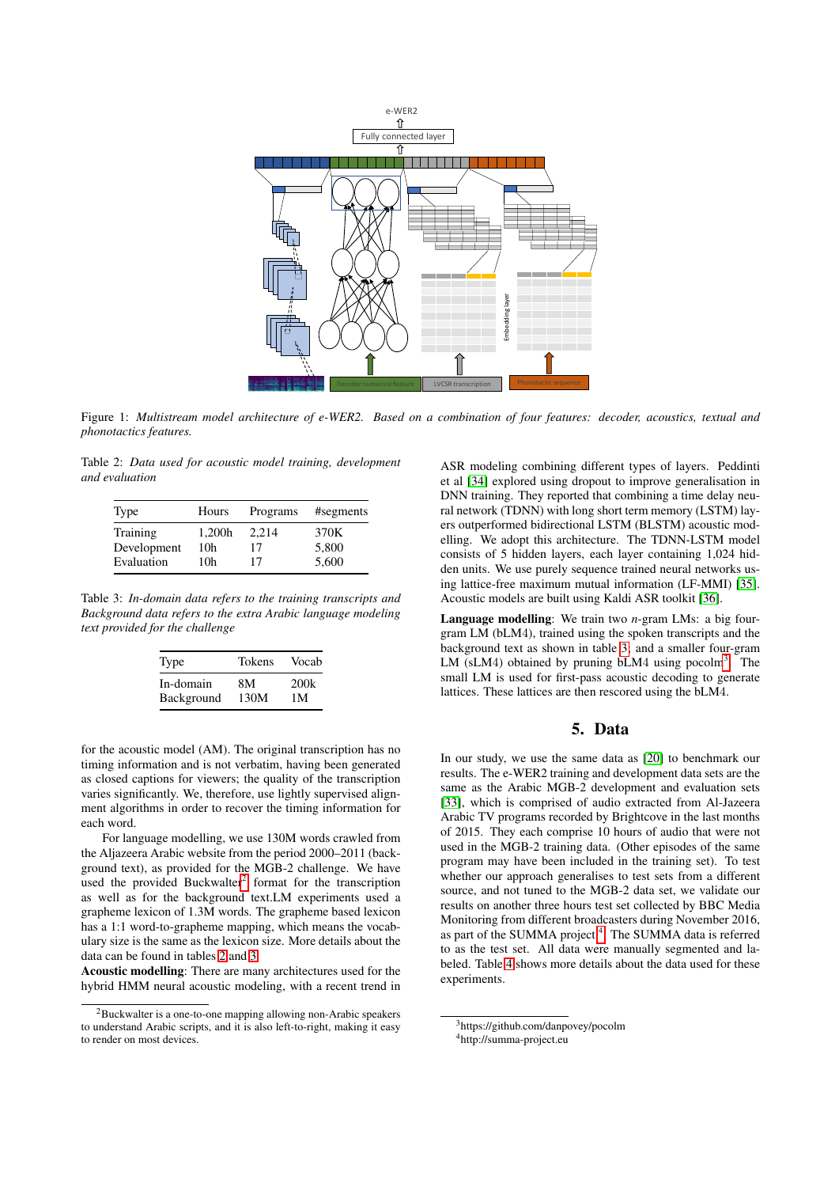<span id="page-2-0"></span>

Figure 1: *Multistream model architecture of e-WER2. Based on a combination of four features: decoder, acoustics, textual and phonotactics features.*

<span id="page-2-2"></span>Table 2: *Data used for acoustic model training, development and evaluation*

| Type        | Hours  | Programs | #segments |
|-------------|--------|----------|-----------|
| Training    | 1,200h | 2.214    | 370K      |
| Development | 10h    | 17       | 5,800     |
| Evaluation  | 10h    | 17       | 5,600     |

<span id="page-2-3"></span>Table 3: *In-domain data refers to the training transcripts and Background data refers to the extra Arabic language modeling text provided for the challenge*

| Type       | <b>Tokens</b> | Vocab |
|------------|---------------|-------|
| In-domain  | 8M            | 200k  |
| Background | 130M          | 1 M   |

for the acoustic model (AM). The original transcription has no timing information and is not verbatim, having been generated as closed captions for viewers; the quality of the transcription varies significantly. We, therefore, use lightly supervised alignment algorithms in order to recover the timing information for each word.

For language modelling, we use 130M words crawled from the Aljazeera Arabic website from the period 2000–2011 (background text), as provided for the MGB-2 challenge. We have used the provided Buckwalter<sup>[2](#page-2-1)</sup> format for the transcription as well as for the background text.LM experiments used a grapheme lexicon of 1.3M words. The grapheme based lexicon has a 1:1 word-to-grapheme mapping, which means the vocabulary size is the same as the lexicon size. More details about the data can be found in tables [2](#page-2-2) and [3.](#page-2-3)

Acoustic modelling: There are many architectures used for the hybrid HMM neural acoustic modeling, with a recent trend in

ASR modeling combining different types of layers. Peddinti et al [\[34\]](#page-4-33) explored using dropout to improve generalisation in DNN training. They reported that combining a time delay neural network (TDNN) with long short term memory (LSTM) layers outperformed bidirectional LSTM (BLSTM) acoustic modelling. We adopt this architecture. The TDNN-LSTM model consists of 5 hidden layers, each layer containing 1,024 hidden units. We use purely sequence trained neural networks using lattice-free maximum mutual information (LF-MMI) [\[35\]](#page-4-34). Acoustic models are built using Kaldi ASR toolkit [\[36\]](#page-4-35).

Language modelling: We train two *n*-gram LMs: a big fourgram LM (bLM4), trained using the spoken transcripts and the background text as shown in table [3;](#page-2-3) and a smaller four-gram LM (sLM4) obtained by pruning bLM4 using pocolm<sup>[3](#page-2-4)</sup>. The small LM is used for first-pass acoustic decoding to generate lattices. These lattices are then rescored using the bLM4.

# 5. Data

In our study, we use the same data as [\[20\]](#page-4-19) to benchmark our results. The e-WER2 training and development data sets are the same as the Arabic MGB-2 development and evaluation sets [\[33\]](#page-4-32), which is comprised of audio extracted from Al-Jazeera Arabic TV programs recorded by Brightcove in the last months of 2015. They each comprise 10 hours of audio that were not used in the MGB-2 training data. (Other episodes of the same program may have been included in the training set). To test whether our approach generalises to test sets from a different source, and not tuned to the MGB-2 data set, we validate our results on another three hours test set collected by BBC Media Monitoring from different broadcasters during November 2016, as part of the SUMMA project<sup>[4](#page-2-5)</sup>. The SUMMA data is referred to as the test set. All data were manually segmented and labeled. Table [4](#page-3-0) shows more details about the data used for these experiments.

<span id="page-2-1"></span><sup>2</sup>Buckwalter is a one-to-one mapping allowing non-Arabic speakers to understand Arabic scripts, and it is also left-to-right, making it easy to render on most devices.

<span id="page-2-5"></span><span id="page-2-4"></span><sup>3</sup>https://github.com/danpovey/pocolm <sup>4</sup>http://summa-project.eu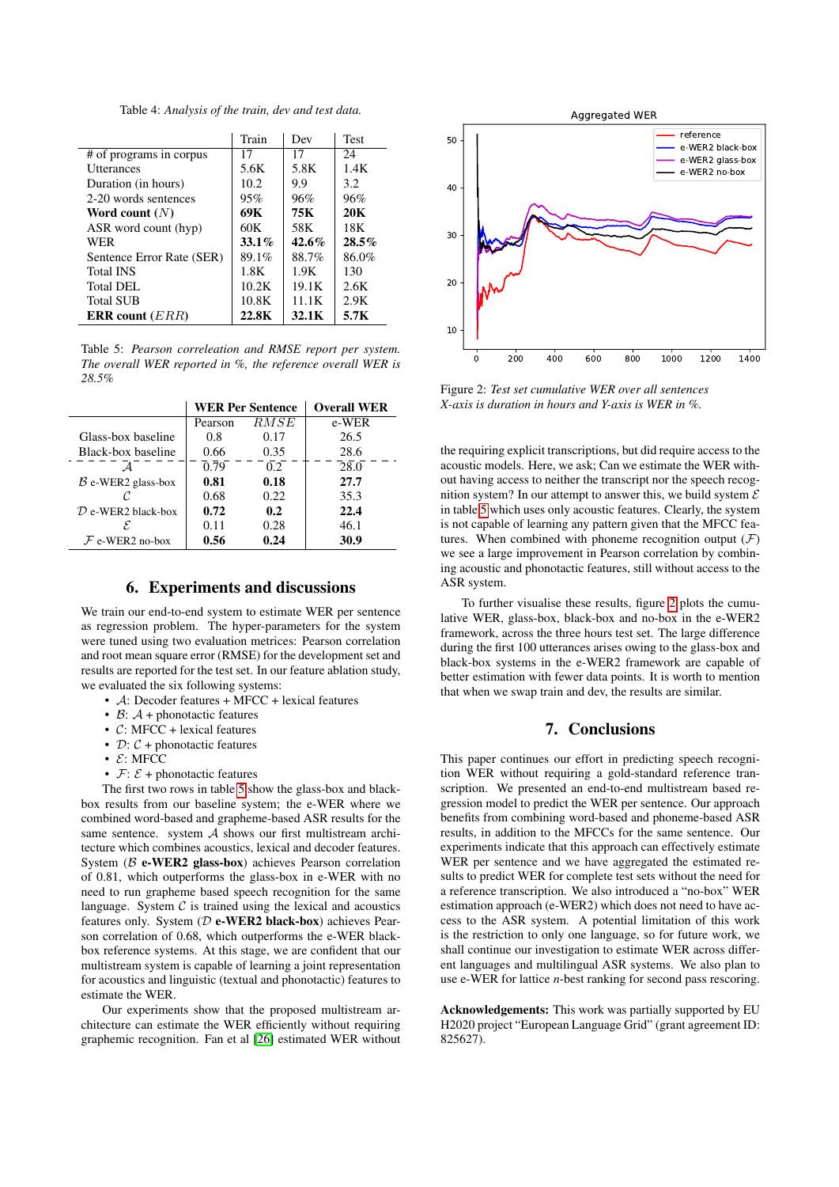Table 4: *Analysis of the train, dev and test data.*

<span id="page-3-0"></span>

|                           | Train    | Dev   | <b>Test</b> |
|---------------------------|----------|-------|-------------|
| # of programs in corpus   | 17       | 17    | 24          |
| <b>Utterances</b>         | 5.6K     | 5.8K  | 1.4K        |
| Duration (in hours)       | 10.2     | 9.9   | 3.2.        |
| 2-20 words sentences      | 95%      | 96%   | 96%         |
| Word count $(N)$          | 69K      | 75K   | 20K         |
| ASR word count (hyp)      | 60K      | 58K   | 18K         |
| <b>WER</b>                | $33.1\%$ | 42.6% | $28.5\%$    |
| Sentence Error Rate (SER) | 89.1%    | 88.7% | 86.0%       |
| <b>Total INS</b>          | 1.8K     | 1.9K  | 130         |
| Total DEL                 | 10.2K    | 19.1K | 2.6K        |
| <b>Total SUB</b>          | 10.8K    | 11.1K | 2.9K        |
| <b>ERR</b> count $(ERR)$  | 22.8K    | 32.1K | 5.7K        |

<span id="page-3-1"></span>Table 5: *Pearson correleation and RMSE report per system. The overall WER reported in %, the reference overall WER is 28.5%*

|                               |         | <b>WER Per Sentence</b> | <b>Overall WER</b> |
|-------------------------------|---------|-------------------------|--------------------|
|                               | Pearson | RMSE                    | e-WER              |
| Glass-box baseline            | 0.8     | 0.17                    | 26.5               |
| Black-box baseline            | 0.66    | 0.35                    | 28.6               |
|                               | 0.79    | 0.2 <sub>z</sub>        | 28.0               |
| $B$ e-WER2 glass-box          | 0.81    | 0.18                    | 27.7               |
|                               | 0.68    | 0.22                    | 35.3               |
| $\mathcal D$ e-WER2 black-box | 0.72    | 0.2                     | 22.4               |
| ε.                            | 0.11    | 0.28                    | 46.1               |
| $F$ e-WER2 no-box             | 0.56    | 0.24                    | 30.9               |

# 6. Experiments and discussions

We train our end-to-end system to estimate WER per sentence as regression problem. The hyper-parameters for the system were tuned using two evaluation metrices: Pearson correlation and root mean square error (RMSE) for the development set and results are reported for the test set. In our feature ablation study, we evaluated the six following systems:

- A: Decoder features + MFCC + lexical features
- $\beta$ :  $\mathcal{A}$  + phonotactic features
- C: MFCC + lexical features
- $D: C +$  phonotactic features
- $E$ : MFCC
- $\mathcal{F}: \mathcal{E}$  + phonotactic features

The first two rows in table [5](#page-3-1) show the glass-box and blackbox results from our baseline system; the e-WER where we combined word-based and grapheme-based ASR results for the same sentence. system  $A$  shows our first multistream architecture which combines acoustics, lexical and decoder features. System ( $\beta$  e-WER2 glass-box) achieves Pearson correlation of 0.81, which outperforms the glass-box in e-WER with no need to run grapheme based speech recognition for the same language. System  $C$  is trained using the lexical and acoustics features only. System ( $D$  e-WER2 black-box) achieves Pearson correlation of 0.68, which outperforms the e-WER blackbox reference systems. At this stage, we are confident that our multistream system is capable of learning a joint representation for acoustics and linguistic (textual and phonotactic) features to estimate the WER.

Our experiments show that the proposed multistream architecture can estimate the WER efficiently without requiring graphemic recognition. Fan et al [\[26\]](#page-4-25) estimated WER without

<span id="page-3-2"></span>

Figure 2: *Test set cumulative WER over all sentences X-axis is duration in hours and Y-axis is WER in %.*

the requiring explicit transcriptions, but did require access to the acoustic models. Here, we ask; Can we estimate the WER without having access to neither the transcript nor the speech recognition system? In our attempt to answer this, we build system  $\mathcal E$ in table [5](#page-3-1) which uses only acoustic features. Clearly, the system is not capable of learning any pattern given that the MFCC features. When combined with phoneme recognition output  $(F)$ we see a large improvement in Pearson correlation by combining acoustic and phonotactic features, still without access to the ASR system.

To further visualise these results, figure [2](#page-3-2) plots the cumulative WER, glass-box, black-box and no-box in the e-WER2 framework, across the three hours test set. The large difference during the first 100 utterances arises owing to the glass-box and black-box systems in the e-WER2 framework are capable of better estimation with fewer data points. It is worth to mention that when we swap train and dev, the results are similar.

### 7. Conclusions

This paper continues our effort in predicting speech recognition WER without requiring a gold-standard reference transcription. We presented an end-to-end multistream based regression model to predict the WER per sentence. Our approach benefits from combining word-based and phoneme-based ASR results, in addition to the MFCCs for the same sentence. Our experiments indicate that this approach can effectively estimate WER per sentence and we have aggregated the estimated results to predict WER for complete test sets without the need for a reference transcription. We also introduced a "no-box" WER estimation approach (e-WER2) which does not need to have access to the ASR system. A potential limitation of this work is the restriction to only one language, so for future work, we shall continue our investigation to estimate WER across different languages and multilingual ASR systems. We also plan to use e-WER for lattice *n*-best ranking for second pass rescoring.

Acknowledgements: This work was partially supported by EU H2020 project "European Language Grid" (grant agreement ID: 825627).